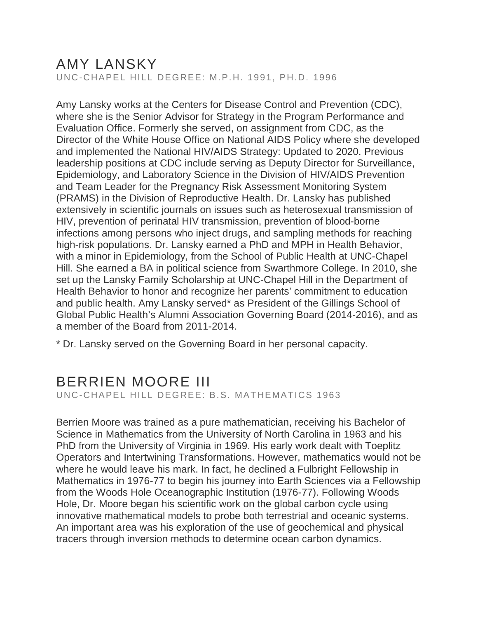## AMY LANSKY

UNC-CHAPEL HILL DEGREE: M.P.H. 1991, PH.D. 1996

Amy Lansky works at the Centers for Disease Control and Prevention (CDC), where she is the Senior Advisor for Strategy in the Program Performance and Evaluation Office. Formerly she served, on assignment from CDC, as the Director of the White House Office on National AIDS Policy where she developed and implemented the National HIV/AIDS Strategy: Updated to 2020. Previous leadership positions at CDC include serving as Deputy Director for Surveillance, Epidemiology, and Laboratory Science in the Division of HIV/AIDS Prevention and Team Leader for the Pregnancy Risk Assessment Monitoring System (PRAMS) in the Division of Reproductive Health. Dr. Lansky has published extensively in scientific journals on issues such as heterosexual transmission of HIV, prevention of perinatal HIV transmission, prevention of blood-borne infections among persons who inject drugs, and sampling methods for reaching high-risk populations. Dr. Lansky earned a PhD and MPH in Health Behavior, with a minor in Epidemiology, from the School of Public Health at UNC-Chapel Hill. She earned a BA in political science from Swarthmore College. In 2010, she set up the Lansky Family Scholarship at UNC-Chapel Hill in the Department of Health Behavior to honor and recognize her parents' commitment to education and public health. Amy Lansky served\* as President of the Gillings School of Global Public Health's Alumni Association Governing Board (2014-2016), and as a member of the Board from 2011-2014.

\* Dr. Lansky served on the Governing Board in her personal capacity.

#### BERRIEN MOORE III UNC-CHAPEL HILL DEGREE: B.S. MATHEMATICS 1963

Berrien Moore was trained as a pure mathematician, receiving his Bachelor of Science in Mathematics from the University of North Carolina in 1963 and his PhD from the University of Virginia in 1969. His early work dealt with Toeplitz Operators and Intertwining Transformations. However, mathematics would not be where he would leave his mark. In fact, he declined a Fulbright Fellowship in Mathematics in 1976-77 to begin his journey into Earth Sciences via a Fellowship from the Woods Hole Oceanographic Institution (1976-77). Following Woods Hole, Dr. Moore began his scientific work on the global carbon cycle using innovative mathematical models to probe both terrestrial and oceanic systems. An important area was his exploration of the use of geochemical and physical tracers through inversion methods to determine ocean carbon dynamics.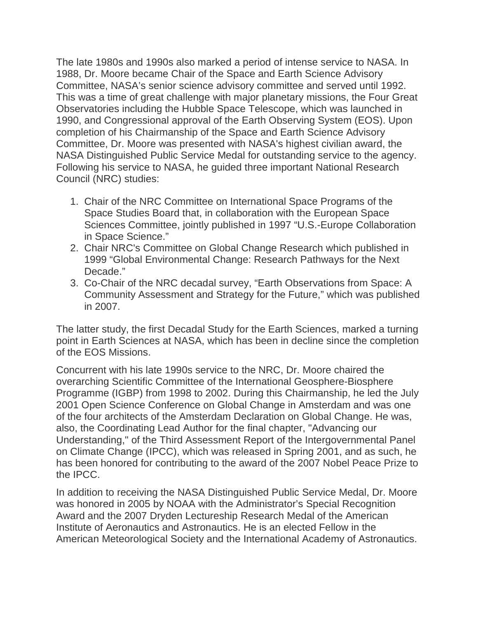The late 1980s and 1990s also marked a period of intense service to NASA. In 1988, Dr. Moore became Chair of the Space and Earth Science Advisory Committee, NASA's senior science advisory committee and served until 1992. This was a time of great challenge with major planetary missions, the Four Great Observatories including the Hubble Space Telescope, which was launched in 1990, and Congressional approval of the Earth Observing System (EOS). Upon completion of his Chairmanship of the Space and Earth Science Advisory Committee, Dr. Moore was presented with NASA's highest civilian award, the NASA Distinguished Public Service Medal for outstanding service to the agency. Following his service to NASA, he guided three important National Research Council (NRC) studies:

- 1. Chair of the NRC Committee on International Space Programs of the Space Studies Board that, in collaboration with the European Space Sciences Committee, jointly published in 1997 "U.S.-Europe Collaboration in Space Science."
- 2. Chair NRC's Committee on Global Change Research which published in 1999 "Global Environmental Change: Research Pathways for the Next Decade."
- 3. Co-Chair of the NRC decadal survey, "Earth Observations from Space: A Community Assessment and Strategy for the Future," which was published in 2007.

The latter study, the first Decadal Study for the Earth Sciences, marked a turning point in Earth Sciences at NASA, which has been in decline since the completion of the EOS Missions.

Concurrent with his late 1990s service to the NRC, Dr. Moore chaired the overarching Scientific Committee of the International Geosphere-Biosphere Programme (IGBP) from 1998 to 2002. During this Chairmanship, he led the July 2001 Open Science Conference on Global Change in Amsterdam and was one of the four architects of the Amsterdam Declaration on Global Change. He was, also, the Coordinating Lead Author for the final chapter, "Advancing our Understanding," of the Third Assessment Report of the Intergovernmental Panel on Climate Change (IPCC), which was released in Spring 2001, and as such, he has been honored for contributing to the award of the 2007 Nobel Peace Prize to the IPCC.

In addition to receiving the NASA Distinguished Public Service Medal, Dr. Moore was honored in 2005 by NOAA with the Administrator's Special Recognition Award and the 2007 Dryden Lectureship Research Medal of the American Institute of Aeronautics and Astronautics. He is an elected Fellow in the American Meteorological Society and the International Academy of Astronautics.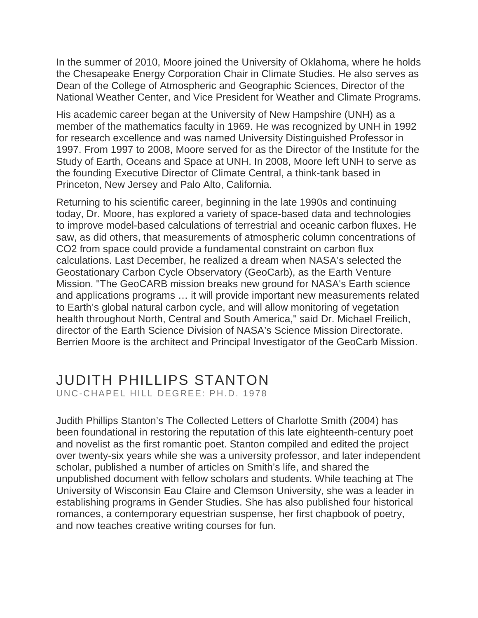In the summer of 2010, Moore joined the University of Oklahoma, where he holds the Chesapeake Energy Corporation Chair in Climate Studies. He also serves as Dean of the College of Atmospheric and Geographic Sciences, Director of the National Weather Center, and Vice President for Weather and Climate Programs.

His academic career began at the University of New Hampshire (UNH) as a member of the mathematics faculty in 1969. He was recognized by UNH in 1992 for research excellence and was named University Distinguished Professor in 1997. From 1997 to 2008, Moore served for as the Director of the Institute for the Study of Earth, Oceans and Space at UNH. In 2008, Moore left UNH to serve as the founding Executive Director of Climate Central, a think-tank based in Princeton, New Jersey and Palo Alto, California.

Returning to his scientific career, beginning in the late 1990s and continuing today, Dr. Moore, has explored a variety of space-based data and technologies to improve model-based calculations of terrestrial and oceanic carbon fluxes. He saw, as did others, that measurements of atmospheric column concentrations of CO2 from space could provide a fundamental constraint on carbon flux calculations. Last December, he realized a dream when NASA's selected the Geostationary Carbon Cycle Observatory (GeoCarb), as the Earth Venture Mission. "The GeoCARB mission breaks new ground for NASA's Earth science and applications programs … it will provide important new measurements related to Earth's global natural carbon cycle, and will allow monitoring of vegetation health throughout North, Central and South America," said Dr. Michael Freilich, director of the Earth Science Division of NASA's Science Mission Directorate. Berrien Moore is the architect and Principal Investigator of the GeoCarb Mission.

# JUDITH PHILLIPS STANTON

UNC-CHAPEL HILL DEGREE: PH.D. 1978

Judith Phillips Stanton's The Collected Letters of Charlotte Smith (2004) has been foundational in restoring the reputation of this late eighteenth-century poet and novelist as the first romantic poet. Stanton compiled and edited the project over twenty-six years while she was a university professor, and later independent scholar, published a number of articles on Smith's life, and shared the unpublished document with fellow scholars and students. While teaching at The University of Wisconsin Eau Claire and Clemson University, she was a leader in establishing programs in Gender Studies. She has also published four historical romances, a contemporary equestrian suspense, her first chapbook of poetry, and now teaches creative writing courses for fun.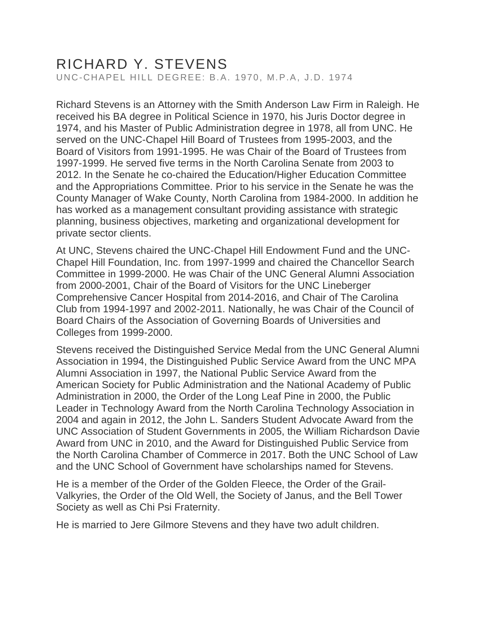### RICHARD Y. STEVENS UNC-CHAPEL HILL DEGREE: B.A. 1970, M.P.A, J.D. 1974

Richard Stevens is an Attorney with the Smith Anderson Law Firm in Raleigh. He received his BA degree in Political Science in 1970, his Juris Doctor degree in 1974, and his Master of Public Administration degree in 1978, all from UNC. He served on the UNC-Chapel Hill Board of Trustees from 1995-2003, and the Board of Visitors from 1991-1995. He was Chair of the Board of Trustees from 1997-1999. He served five terms in the North Carolina Senate from 2003 to 2012. In the Senate he co-chaired the Education/Higher Education Committee and the Appropriations Committee. Prior to his service in the Senate he was the County Manager of Wake County, North Carolina from 1984-2000. In addition he has worked as a management consultant providing assistance with strategic planning, business objectives, marketing and organizational development for private sector clients.

At UNC, Stevens chaired the UNC-Chapel Hill Endowment Fund and the UNC-Chapel Hill Foundation, Inc. from 1997-1999 and chaired the Chancellor Search Committee in 1999-2000. He was Chair of the UNC General Alumni Association from 2000-2001, Chair of the Board of Visitors for the UNC Lineberger Comprehensive Cancer Hospital from 2014-2016, and Chair of The Carolina Club from 1994-1997 and 2002-2011. Nationally, he was Chair of the Council of Board Chairs of the Association of Governing Boards of Universities and Colleges from 1999-2000.

Stevens received the Distinguished Service Medal from the UNC General Alumni Association in 1994, the Distinguished Public Service Award from the UNC MPA Alumni Association in 1997, the National Public Service Award from the American Society for Public Administration and the National Academy of Public Administration in 2000, the Order of the Long Leaf Pine in 2000, the Public Leader in Technology Award from the North Carolina Technology Association in 2004 and again in 2012, the John L. Sanders Student Advocate Award from the UNC Association of Student Governments in 2005, the William Richardson Davie Award from UNC in 2010, and the Award for Distinguished Public Service from the North Carolina Chamber of Commerce in 2017. Both the UNC School of Law and the UNC School of Government have scholarships named for Stevens.

He is a member of the Order of the Golden Fleece, the Order of the Grail-Valkyries, the Order of the Old Well, the Society of Janus, and the Bell Tower Society as well as Chi Psi Fraternity.

He is married to Jere Gilmore Stevens and they have two adult children.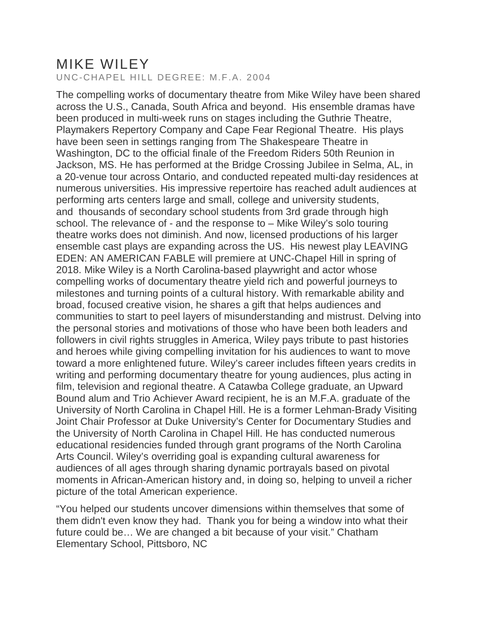### MIKE WILEY UNC-CHAPEL HILL DEGREE: M.F.A. 2004

The compelling works of documentary theatre from Mike Wiley have been shared across the U.S., Canada, South Africa and beyond. His ensemble dramas have been produced in multi-week runs on stages including the Guthrie Theatre, Playmakers Repertory Company and Cape Fear Regional Theatre. His plays have been seen in settings ranging from The Shakespeare Theatre in Washington, DC to the official finale of the Freedom Riders 50th Reunion in Jackson, MS. He has performed at the Bridge Crossing Jubilee in Selma, AL, in a 20-venue tour across Ontario, and conducted repeated multi-day residences at numerous universities. His impressive repertoire has reached adult audiences at performing arts centers large and small, college and university students, and thousands of secondary school students from 3rd grade through high school. The relevance of - and the response to – Mike Wiley's solo touring theatre works does not diminish. And now, licensed productions of his larger ensemble cast plays are expanding across the US. His newest play LEAVING EDEN: AN AMERICAN FABLE will premiere at UNC-Chapel Hill in spring of 2018. Mike Wiley is a North Carolina-based playwright and actor whose compelling works of documentary theatre yield rich and powerful journeys to milestones and turning points of a cultural history. With remarkable ability and broad, focused creative vision, he shares a gift that helps audiences and communities to start to peel layers of misunderstanding and mistrust. Delving into the personal stories and motivations of those who have been both leaders and followers in civil rights struggles in America, Wiley pays tribute to past histories and heroes while giving compelling invitation for his audiences to want to move toward a more enlightened future. Wiley's career includes fifteen years credits in writing and performing documentary theatre for young audiences, plus acting in film, television and regional theatre. A Catawba College graduate, an Upward Bound alum and Trio Achiever Award recipient, he is an M.F.A. graduate of the University of North Carolina in Chapel Hill. He is a former Lehman-Brady Visiting Joint Chair Professor at Duke University's Center for Documentary Studies and the University of North Carolina in Chapel Hill. He has conducted numerous educational residencies funded through grant programs of the North Carolina Arts Council. Wiley's overriding goal is expanding cultural awareness for audiences of all ages through sharing dynamic portrayals based on pivotal moments in African-American history and, in doing so, helping to unveil a richer picture of the total American experience.

"You helped our students uncover dimensions within themselves that some of them didn't even know they had. Thank you for being a window into what their future could be… We are changed a bit because of your visit." Chatham Elementary School, Pittsboro, NC